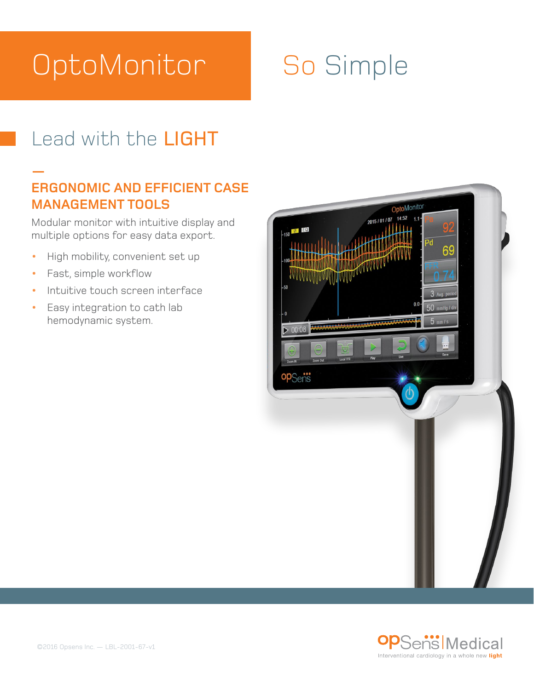# **OptoMonitor**

## So Simple

### Lead with the LIGHT

#### **— ERGONOMIC AND EFFICIENT CASE MANAGEMENT TOOLS**

Modular monitor with intuitive display and multiple options for easy data export.

- **•** High mobility, convenient set up
- **•** Fast, simple workflow
- **•** Intuitive touch screen interface
- **•** Easy integration to cath lab hemodynamic system.